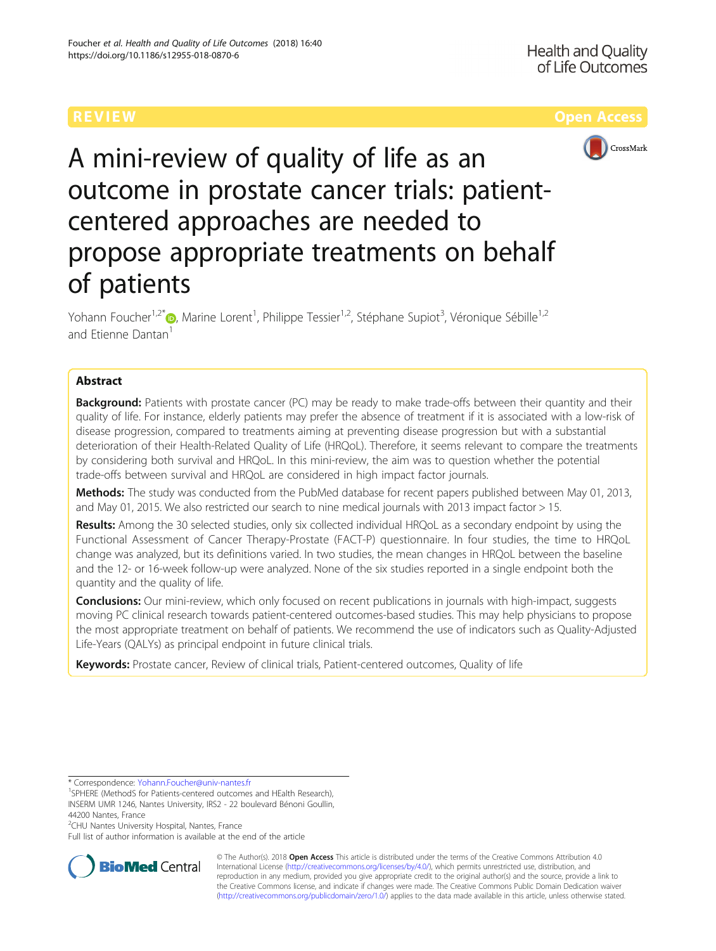

A mini-review of quality of life as an outcome in prostate cancer trials: patientcentered approaches are needed to propose appropriate treatments on behalf of patients

Yohann Foucher<sup>1[,](http://orcid.org/0000-0003-0330-7457)2\*</sup>®, Marine Lorent<sup>1</sup>, Philippe Tessier<sup>1,2</sup>, Stéphane Supiot<sup>3</sup>, Véronique Sébille<sup>1,2</sup> and Etienne Dantan<sup>1</sup>

# Abstract

**Background:** Patients with prostate cancer (PC) may be ready to make trade-offs between their quantity and their quality of life. For instance, elderly patients may prefer the absence of treatment if it is associated with a low-risk of disease progression, compared to treatments aiming at preventing disease progression but with a substantial deterioration of their Health-Related Quality of Life (HRQoL). Therefore, it seems relevant to compare the treatments by considering both survival and HRQoL. In this mini-review, the aim was to question whether the potential trade-offs between survival and HRQoL are considered in high impact factor journals.

Methods: The study was conducted from the PubMed database for recent papers published between May 01, 2013, and May 01, 2015. We also restricted our search to nine medical journals with 2013 impact factor > 15.

Results: Among the 30 selected studies, only six collected individual HRQoL as a secondary endpoint by using the Functional Assessment of Cancer Therapy-Prostate (FACT-P) questionnaire. In four studies, the time to HRQoL change was analyzed, but its definitions varied. In two studies, the mean changes in HRQoL between the baseline and the 12- or 16-week follow-up were analyzed. None of the six studies reported in a single endpoint both the quantity and the quality of life.

**Conclusions:** Our mini-review, which only focused on recent publications in journals with high-impact, suggests moving PC clinical research towards patient-centered outcomes-based studies. This may help physicians to propose the most appropriate treatment on behalf of patients. We recommend the use of indicators such as Quality-Adjusted Life-Years (QALYs) as principal endpoint in future clinical trials.

Keywords: Prostate cancer, Review of clinical trials, Patient-centered outcomes, Quality of life

<sup>1</sup>SPHERE (MethodS for Patients-centered outcomes and HEalth Research), INSERM UMR 1246, Nantes University, IRS2 - 22 boulevard Bénoni Goullin, 44200 Nantes, France

<sup>2</sup>CHU Nantes University Hospital, Nantes, France

Full list of author information is available at the end of the article



© The Author(s). 2018 Open Access This article is distributed under the terms of the Creative Commons Attribution 4.0 International License [\(http://creativecommons.org/licenses/by/4.0/](http://creativecommons.org/licenses/by/4.0/)), which permits unrestricted use, distribution, and reproduction in any medium, provided you give appropriate credit to the original author(s) and the source, provide a link to the Creative Commons license, and indicate if changes were made. The Creative Commons Public Domain Dedication waiver [\(http://creativecommons.org/publicdomain/zero/1.0/](http://creativecommons.org/publicdomain/zero/1.0/)) applies to the data made available in this article, unless otherwise stated.

<sup>\*</sup> Correspondence: [Yohann.Foucher@univ-nantes.fr](mailto:Yohann.Foucher@univ-nantes.fr) <sup>1</sup>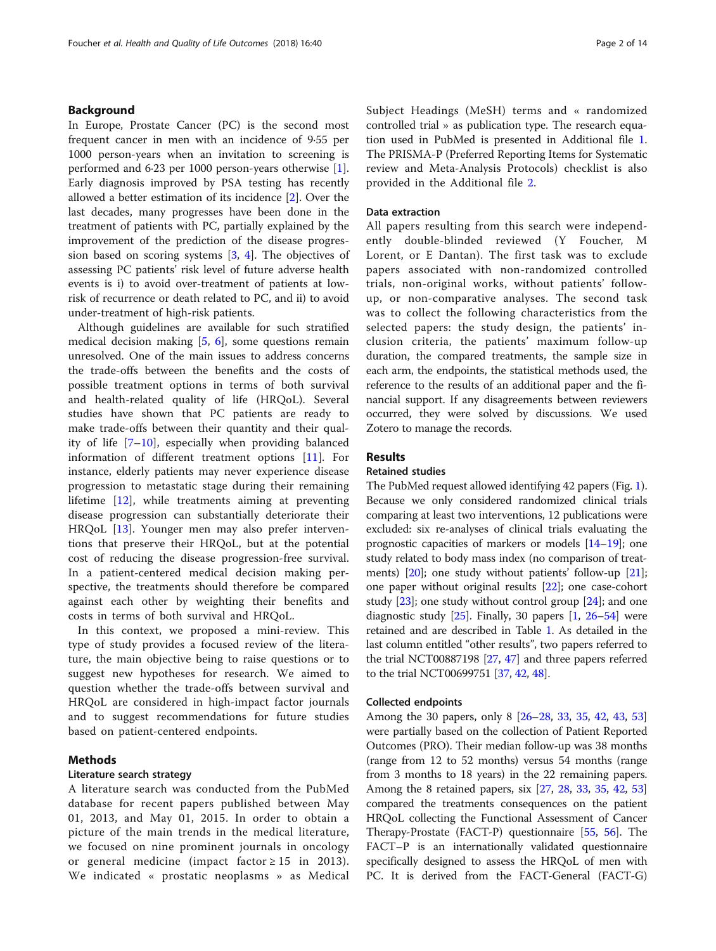# Background

In Europe, Prostate Cancer (PC) is the second most frequent cancer in men with an incidence of 9·55 per 1000 person-years when an invitation to screening is performed and 6·23 per 1000 person-years otherwise [\[1](#page-11-0)]. Early diagnosis improved by PSA testing has recently allowed a better estimation of its incidence [[2\]](#page-11-0). Over the last decades, many progresses have been done in the treatment of patients with PC, partially explained by the improvement of the prediction of the disease progression based on scoring systems [\[3](#page-11-0), [4\]](#page-11-0). The objectives of assessing PC patients' risk level of future adverse health events is i) to avoid over-treatment of patients at lowrisk of recurrence or death related to PC, and ii) to avoid under-treatment of high-risk patients.

Although guidelines are available for such stratified medical decision making  $[5, 6]$  $[5, 6]$  $[5, 6]$  $[5, 6]$ , some questions remain unresolved. One of the main issues to address concerns the trade-offs between the benefits and the costs of possible treatment options in terms of both survival and health-related quality of life (HRQoL). Several studies have shown that PC patients are ready to make trade-offs between their quantity and their quality of life  $[7-10]$  $[7-10]$  $[7-10]$  $[7-10]$ , especially when providing balanced information of different treatment options [[11\]](#page-11-0). For instance, elderly patients may never experience disease progression to metastatic stage during their remaining lifetime [\[12](#page-11-0)], while treatments aiming at preventing disease progression can substantially deteriorate their HRQoL [[13\]](#page-11-0). Younger men may also prefer interventions that preserve their HRQoL, but at the potential cost of reducing the disease progression-free survival. In a patient-centered medical decision making perspective, the treatments should therefore be compared against each other by weighting their benefits and costs in terms of both survival and HRQoL.

In this context, we proposed a mini-review. This type of study provides a focused review of the literature, the main objective being to raise questions or to suggest new hypotheses for research. We aimed to question whether the trade-offs between survival and HRQoL are considered in high-impact factor journals and to suggest recommendations for future studies based on patient-centered endpoints.

# Methods

# Literature search strategy

A literature search was conducted from the PubMed database for recent papers published between May 01, 2013, and May 01, 2015. In order to obtain a picture of the main trends in the medical literature, we focused on nine prominent journals in oncology or general medicine (impact factor  $\geq 15$  in 2013). We indicated « prostatic neoplasms » as Medical Subject Headings (MeSH) terms and « randomized controlled trial » as publication type. The research equation used in PubMed is presented in Additional file [1](#page-11-0). The PRISMA-P (Preferred Reporting Items for Systematic review and Meta-Analysis Protocols) checklist is also provided in the Additional file [2](#page-11-0).

## Data extraction

All papers resulting from this search were independently double-blinded reviewed (Y Foucher, M Lorent, or E Dantan). The first task was to exclude papers associated with non-randomized controlled trials, non-original works, without patients' followup, or non-comparative analyses. The second task was to collect the following characteristics from the selected papers: the study design, the patients' inclusion criteria, the patients' maximum follow-up duration, the compared treatments, the sample size in each arm, the endpoints, the statistical methods used, the reference to the results of an additional paper and the financial support. If any disagreements between reviewers occurred, they were solved by discussions. We used Zotero to manage the records.

## **Results**

### Retained studies

The PubMed request allowed identifying 42 papers (Fig. [1](#page-2-0)). Because we only considered randomized clinical trials comparing at least two interventions, 12 publications were excluded: six re-analyses of clinical trials evaluating the prognostic capacities of markers or models [[14](#page-11-0)–[19\]](#page-11-0); one study related to body mass index (no comparison of treat-ments) [\[20\]](#page-11-0); one study without patients' follow-up [[21](#page-11-0)]; one paper without original results [[22](#page-11-0)]; one case-cohort study  $[23]$ ; one study without control group  $[24]$ ; and one diagnostic study [[25](#page-11-0)]. Finally, 30 papers [\[1](#page-11-0), [26](#page-12-0)–[54](#page-12-0)] were retained and are described in Table [1](#page-3-0). As detailed in the last column entitled "other results", two papers referred to the trial NCT00887198 [\[27,](#page-12-0) [47\]](#page-12-0) and three papers referred to the trial NCT00699751 [\[37,](#page-12-0) [42](#page-12-0), [48\]](#page-12-0).

## Collected endpoints

Among the 30 papers, only 8 [\[26](#page-12-0)–[28](#page-12-0), [33,](#page-12-0) [35](#page-12-0), [42](#page-12-0), [43,](#page-12-0) [53](#page-12-0)] were partially based on the collection of Patient Reported Outcomes (PRO). Their median follow-up was 38 months (range from 12 to 52 months) versus 54 months (range from 3 months to 18 years) in the 22 remaining papers. Among the 8 retained papers, six [\[27,](#page-12-0) [28,](#page-12-0) [33](#page-12-0), [35,](#page-12-0) [42](#page-12-0), [53](#page-12-0)] compared the treatments consequences on the patient HRQoL collecting the Functional Assessment of Cancer Therapy-Prostate (FACT-P) questionnaire [[55](#page-12-0), [56](#page-12-0)]. The FACT–P is an internationally validated questionnaire specifically designed to assess the HRQoL of men with PC. It is derived from the FACT-General (FACT-G)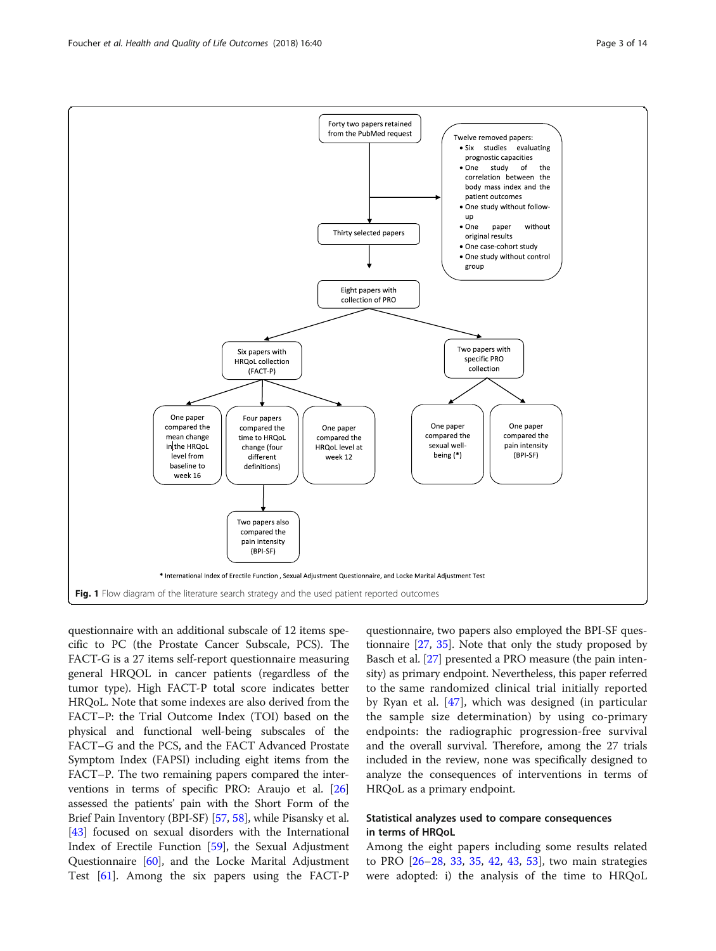questionnaire with an additional subscale of 12 items specific to PC (the Prostate Cancer Subscale, PCS). The FACT-G is a 27 items self-report questionnaire measuring general HRQOL in cancer patients (regardless of the tumor type). High FACT-P total score indicates better HRQoL. Note that some indexes are also derived from the FACT–P: the Trial Outcome Index (TOI) based on the physical and functional well-being subscales of the FACT–G and the PCS, and the FACT Advanced Prostate Symptom Index (FAPSI) including eight items from the FACT–P. The two remaining papers compared the interventions in terms of specific PRO: Araujo et al. [[26](#page-12-0)] assessed the patients' pain with the Short Form of the Brief Pain Inventory (BPI-SF) [\[57,](#page-12-0) [58](#page-12-0)], while Pisansky et al. [[43](#page-12-0)] focused on sexual disorders with the International Index of Erectile Function [\[59](#page-12-0)], the Sexual Adjustment Questionnaire [[60](#page-12-0)], and the Locke Marital Adjustment Test [[61](#page-12-0)]. Among the six papers using the FACT-P

questionnaire, two papers also employed the BPI-SF questionnaire [[27](#page-12-0), [35\]](#page-12-0). Note that only the study proposed by Basch et al. [\[27\]](#page-12-0) presented a PRO measure (the pain intensity) as primary endpoint. Nevertheless, this paper referred to the same randomized clinical trial initially reported by Ryan et al. [[47\]](#page-12-0), which was designed (in particular the sample size determination) by using co-primary endpoints: the radiographic progression-free survival and the overall survival. Therefore, among the 27 trials included in the review, none was specifically designed to analyze the consequences of interventions in terms of HRQoL as a primary endpoint.

# Statistical analyzes used to compare consequences in terms of HRQoL

Among the eight papers including some results related to PRO [\[26](#page-12-0)–[28,](#page-12-0) [33,](#page-12-0) [35](#page-12-0), [42](#page-12-0), [43](#page-12-0), [53\]](#page-12-0), two main strategies were adopted: i) the analysis of the time to HRQoL

<span id="page-2-0"></span>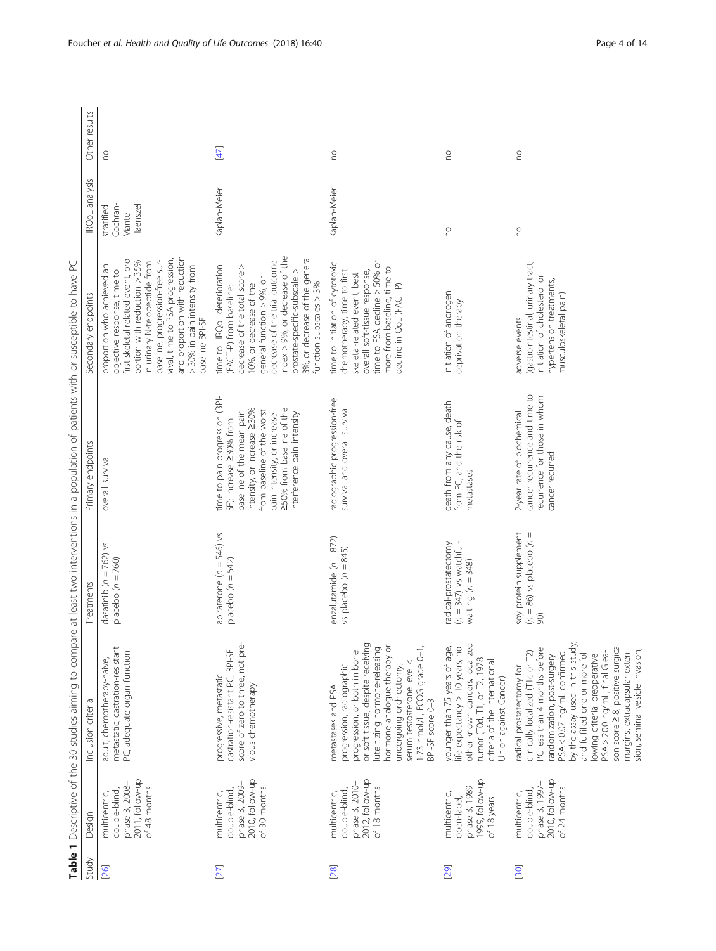<span id="page-3-0"></span>

|        |                                                                                     | Table 1 Descriptive of the 30 studies aiming to compare at least two interventions in a population of patients with or susceptible to have PC                                                                                                                                                                                                                                                              |                                                                          |                                                                                                                                                                                                                                                |                                                                                                                                                                                                                                                                                                                            |                                               |               |
|--------|-------------------------------------------------------------------------------------|------------------------------------------------------------------------------------------------------------------------------------------------------------------------------------------------------------------------------------------------------------------------------------------------------------------------------------------------------------------------------------------------------------|--------------------------------------------------------------------------|------------------------------------------------------------------------------------------------------------------------------------------------------------------------------------------------------------------------------------------------|----------------------------------------------------------------------------------------------------------------------------------------------------------------------------------------------------------------------------------------------------------------------------------------------------------------------------|-----------------------------------------------|---------------|
| Study  | Design                                                                              | Inclusion criteria                                                                                                                                                                                                                                                                                                                                                                                         | Treatments                                                               | endpoints<br>Primary                                                                                                                                                                                                                           | endpoints<br>Secondary                                                                                                                                                                                                                                                                                                     | HRQoL analysis                                | Other results |
| [26]   | 2011, follow-up<br>phase 3, 2008-<br>of 48 months<br>double-blind,<br>multicentric, | metastatic, castration-resistant<br>PC, adequate organ function<br>adult, chemotherapy-naive,                                                                                                                                                                                                                                                                                                              | $\gtrsim$<br>dasatinib ( $n = 762$ )<br>placebo $(n = 760)$              | overall survival                                                                                                                                                                                                                               | and proportion with reduction<br>first skeletal-related event, pro-<br>vival, time to PSA progression,<br>portion with reduction > 35%<br>baseline, progression-free sur-<br>in urinary N-telopeptide from<br>> 30% in pain intensity from<br>proportion who achieved an<br>objective response, time to<br>baseline BPI-SF | Cochran-<br>Haenszel<br>stratified<br>Mantel- | S             |
| [27]   | 2010, follow-up<br>phase 3, 2009-<br>of 30 months<br>double-blind,<br>multicentric, | score of zero to three, not pre-<br>castration-resistant PC, BPI-SF<br>progressive, metastatic<br>vious chemotherapy                                                                                                                                                                                                                                                                                       | abiraterone ( $n = 546$ ) vs<br>placebo ( $n = 542$ )                    | time to pain progression (BPI-<br>250% from baseline of the<br>intensity, or increase 230%<br>baseline of the mean pain<br>from baseline of the worst<br>interference pain intensity<br>pain intensity, or increase<br>SF): increase 230% from | ndex > 9%, or decrease of the<br>3%, or decrease of the general<br>decrease of the trial outcome<br>time to HRQoL deterioration<br>decrease of the total score ><br>prostate-specific-subscale ><br>general function $> 9\%$ , or<br>function subscales $>$ 3%<br>10%, or decrease of the<br>(FACT-P) from baseline:       | Kaplan-Meier                                  | [47]          |
| $[28]$ | 2012, follow-up<br>phase 3, 2010-<br>of 18 months<br>double-blind,<br>multicentric, | or soft tissue, despite receiving<br>hormone analogue therapy or<br>1-73 nmol/L, ECOG grade 0-1,<br>luteinizing hormone-releasing<br>progression, or both in bone<br>serum testosterone level <<br>undergoing orchiectomy,<br>progression, radiographic<br>metastases and PSA<br>BPI-SF score 0-3                                                                                                          | enzalutamide ( $n = 872$ )<br>vs placebo ( $n = 845$ )                   | radiographic progression-free<br>survival and overall survival                                                                                                                                                                                 | time to PSA decline $>$ 50% or<br>time to initiation of cytotoxic<br>more from baseline, time to<br>chemotherapy, time to first<br>overall soft-tissue response,<br>skeletal-related event, best<br>decline in QoL (FACT-P)                                                                                                | Kaplan-Meier                                  | S             |
| [29]   | 1999, follow-up<br>phase 3, 1989-<br>multicentric,<br>open-label,<br>of 18 years    | younger than 75 years of age,<br>life expectancy > 10 years, no<br>other known cancers, localized<br>tumor (T0d, T1, or T2, 1978<br>criteria of the International<br>Union against Cancer)                                                                                                                                                                                                                 | $(n = 347)$ vs watchful-<br>radical-prostatectomy<br>waiting $(n = 348)$ | death from any cause, death<br>from PC, and the risk of<br>metastases                                                                                                                                                                          | initiation of androgen<br>deprivation therapy                                                                                                                                                                                                                                                                              | S                                             | S             |
| [30]   | phase 3, 1997-<br>2010, follow-up<br>of 24 months<br>double-blind,<br>multicentric, | by the assay used in this study,<br>son score 28, positive surgical<br>PC less than 4 months before<br>sion, seminal vesicle invasion.<br>margins, extracapsular exten-<br>clinically localized (T1 c or T2)<br>and fulfilled one or more fol-<br>PSA < 0.07 ng/mL confirmed<br>PSA > 20.0 ng/mL, final Glea-<br>randomization, post-surgery<br>lowing criteria: preoperative<br>radical prostatectomy for | soy protein supplement<br>$(n = 86)$ vs placebo $(n = 90)$               | cancer recurrence and time to<br>recurrence for those in whom<br>2-year rate of biochemical<br>cancer recurred                                                                                                                                 | (gastrointestinal, urinary tract,<br>ŏ<br>hypertension treatments,<br>initiation of cholesterol<br>musculoskeletal pain)<br>adverse events                                                                                                                                                                                 | S                                             | S             |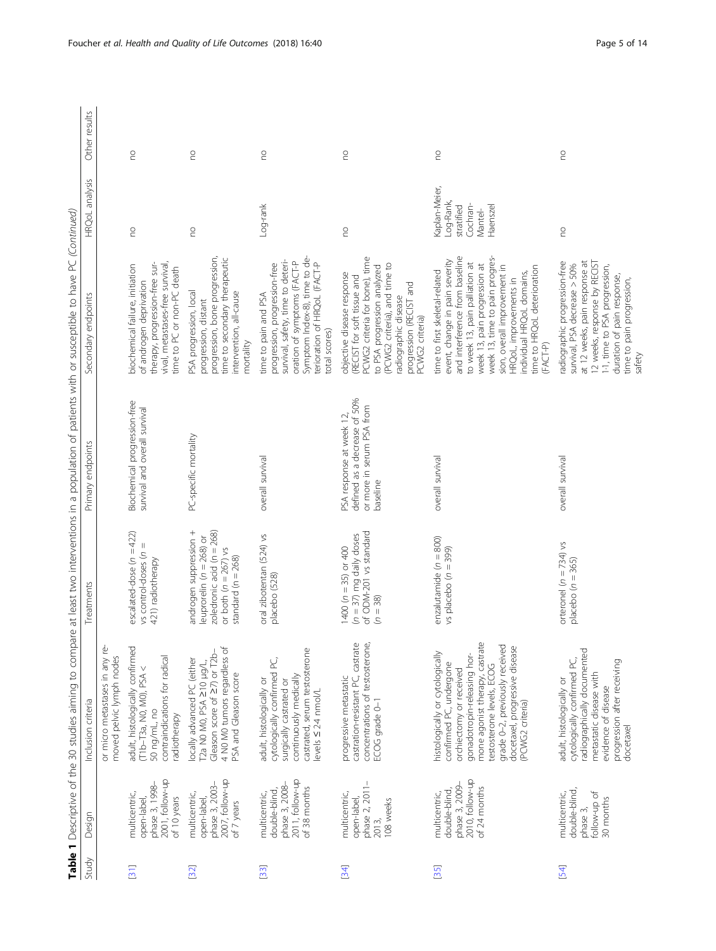| ١<br>S<br>١<br>ί                          |
|-------------------------------------------|
| I<br>l<br>I<br>ļ                          |
| ١<br>ł<br>İ                               |
| )<br>I                                    |
| $\frac{1}{2}$<br>ï<br>ļ                   |
| Ì<br>į                                    |
| ļ<br>Ò<br>١<br>s<br>c                     |
| ١<br>I<br>ì                               |
| ł<br>$\ddot{\phantom{0}}$                 |
| ١<br>$\frac{1}{2}$<br>j<br>í              |
| l<br>1<br>Ï<br>ļ<br>١<br>í<br>I<br>I<br>j |
| J<br>י<br>t                               |
| í<br>j<br>í<br>Ξ<br>5<br>5<br>Е<br>í      |
|                                           |
| ı                                         |
|                                           |

| Other results       |                                                            | S                                                                                                                                                              | $\epsilon$                                                                                                                                                | S                                                                                                                                                                                                           | S                                                                                                                                                                                                                                 | S                                                                                                                                                                                                                                                                                                                                       | S                                                                                                                                                                                                                                    |
|---------------------|------------------------------------------------------------|----------------------------------------------------------------------------------------------------------------------------------------------------------------|-----------------------------------------------------------------------------------------------------------------------------------------------------------|-------------------------------------------------------------------------------------------------------------------------------------------------------------------------------------------------------------|-----------------------------------------------------------------------------------------------------------------------------------------------------------------------------------------------------------------------------------|-----------------------------------------------------------------------------------------------------------------------------------------------------------------------------------------------------------------------------------------------------------------------------------------------------------------------------------------|--------------------------------------------------------------------------------------------------------------------------------------------------------------------------------------------------------------------------------------|
| HRQoL analysis      |                                                            | S                                                                                                                                                              | S                                                                                                                                                         | Log-rank                                                                                                                                                                                                    | S                                                                                                                                                                                                                                 | Kaplan-Meier,<br>Log-Rank,<br>Cochran-<br>stratified<br>Haenszel<br>Mantel-                                                                                                                                                                                                                                                             | S                                                                                                                                                                                                                                    |
| Secondary endpoints |                                                            | vival, metastases-free survival,<br>therapy, progression-free sur-<br>biochemical failure, initiation<br>time to PC or non-PC death<br>of androgen deprivation | progression, bone progression,<br>time to secondary therapeutic<br>PSA progression, local<br>intervention, all-cause<br>progression, distant<br>mortality | Symptom Index-8), time to de-<br>survival, safety, time to deteri-<br>oration of symptoms (FACT-P<br>terioration of HRQoL (FACT-P<br>progression, progression-free<br>time to pain and PSA<br>total scores) | PCWG2 criteria for bone), time<br>(PCWG2 criteria), and time to<br>to PSA progression analyzed<br>objective disease response<br>(RECIST for soft tissue and<br>progression (RECIST and<br>radiographic disease<br>PCWG2 criteria) | and interference from baseline<br>week 13, time to pain progres-<br>event, change in pain severity<br>to week 13, pain palliation at<br>week 13, pain progression at<br>sion, overall improvement in<br>time to HRQoL deterioration<br>time to first skeletal-related<br>ndividual HRQoL domains,<br>HRQoL, improvements in<br>(FACT-P) | at 12 weeks, pain response at<br>12 weeks, response by RECIST<br>radiographic progression-free<br>survival, PSA decrease > 50%<br>1-1, time to PSA progression,<br>duration of pain response,<br>time to pain progression,<br>safety |
| Primary endpoints   |                                                            | Biochemical progression-free<br>survival and overall survival                                                                                                  | PC-specific mortality                                                                                                                                     | overall survival                                                                                                                                                                                            | defined as a decrease of 50%<br>or more in serum PSA from<br>PSA response at week 12,<br>baseline                                                                                                                                 | overall survival                                                                                                                                                                                                                                                                                                                        | overall survival                                                                                                                                                                                                                     |
| Treatments          |                                                            | escalated-dose $(n = 422)$<br>$vs$ control-doses $(n =$<br>421) radiotherapy                                                                                   | androgen suppression +<br>zoledronic acid ( $n = 268$ )<br>leuprorelin ( $n = 268$ ) or<br>or both $(n = 267)$ vs<br>standard $(n = 268)$                 | oral zibotentan (524) vs<br>placebo (528)                                                                                                                                                                   | of ODM-201 vs standard<br>$(n = 37)$ mg daily doses<br>1400 ( $n = 35$ ) or 400<br>$(n = 38)$                                                                                                                                     | enzalutamide (n = 800)<br>vs placebo ( $n = 399$ )                                                                                                                                                                                                                                                                                      | orteronel $(n = 734)$ vs<br>placebo $(n = 365)$                                                                                                                                                                                      |
| Inclusion criteria  | or micro metastases in any re-<br>moved pelvic lymph nodes | adult, histologically confirmed<br>contraindications for radical<br>(T1b-T3a, N0, M0), PSA<<br>50 ng/mL, no<br>radiotherapy                                    | 4 NO MO tumors regardless of<br>Gleason score of 27) or T2b-<br>locally advanced PC (either<br>Γ2a N0 M0, PSA ≥10 μg/L,<br>PSA and Gleason score          | castrated, serum testosterone<br>cytologically confirmed PC,<br>continuously medically<br>adult, histologically or<br>surgically castrated or<br>levels $\leq 2.4$ nmol/L                                   | castration-resistant PC, castrate<br>concentrations of testosterone,<br>progressive metastatic<br>ECOG grade 0-1                                                                                                                  | mone agonist therapy, castrate<br>grade 0-2, previously received<br>docetaxel, progressive disease<br>histologically or cytologically<br>gonadotropin-releasing hor-<br>confirmed PC, undergone<br>testosterone levels, ECOG<br>orchiectomy or received<br>(PCWG2 criteria)                                                             | radiographically documented<br>cytologically confirmed PC,<br>progression after receiving<br>metastatic disease with<br>adult, histologically or<br>evidence of disease<br>docetaxel                                                 |
| Design              |                                                            | 2001, follow-up<br>phase 3, 1998-<br>multicentric,<br>of 10 years<br>open-label,                                                                               | 2007, follow-up<br>phase 3, 2003-<br>multicentric,<br>open-label,<br>of 7 years                                                                           | 2011, follow-up<br>phase 3, 2008-<br>of 38 months<br>double-blind,<br>multicentric,                                                                                                                         | phase 2, 2011-<br>multicentric,<br>open-label,<br>108 weeks<br>2013,                                                                                                                                                              | 2010, follow-up<br>phase 3, 2009-<br>of 24 months<br>double-blind,<br>multicentric,                                                                                                                                                                                                                                                     | double-blind,<br>follow-up of<br>multicentric,<br>30 months<br>phase 3,                                                                                                                                                              |
| Study               |                                                            | [31]                                                                                                                                                           | [32]                                                                                                                                                      | [33]                                                                                                                                                                                                        | [34]                                                                                                                                                                                                                              | $[35]$                                                                                                                                                                                                                                                                                                                                  | 54                                                                                                                                                                                                                                   |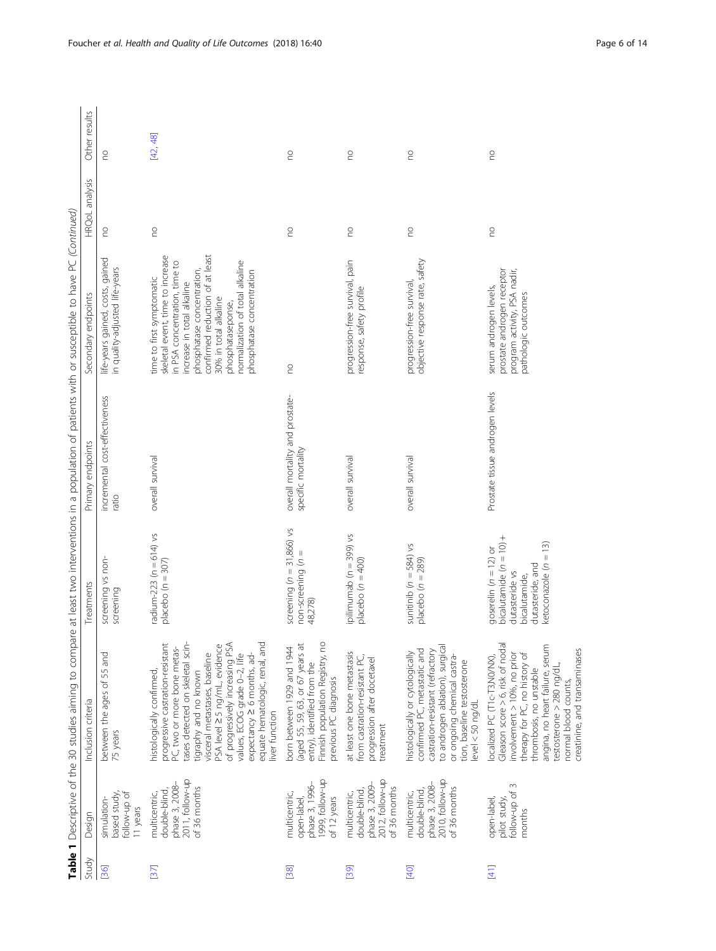|    |                                                | able 1 Descriptive of the 30 studies aiming to com |                             | pare at least two interventions in a population of patients with or susceptible to have PC (Continued) |                                                                  |                       |               |
|----|------------------------------------------------|----------------------------------------------------|-----------------------------|--------------------------------------------------------------------------------------------------------|------------------------------------------------------------------|-----------------------|---------------|
|    | tudy Design                                    | nclusion criteria                                  | reatments                   | imary endpoints                                                                                        | secondary endpoints                                              | <b>HROoL</b> analysis | Other results |
| 36 | $I_{\text{OW-up}}$<br>vbutz beser<br>mulation- | etween the ages of 55 and<br>b years               | creening vs non<br>creening | ncremental cost-effectiveness<br>atio                                                                  | ife-years gained, costs, gained<br>n quality-adjusted life-years | 2                     |               |

|                                    |                                                                                     |                                                                                                                                                                                                                                                                                                                                                                                 |                                                                                                                                            | Table 1 Descriptive of the 30 studies aiming to compare at least two interventions in a population of patients with or susceptible to have PC (Continued) |                                                                                                                                                                                                                                                                                                            |                |               |
|------------------------------------|-------------------------------------------------------------------------------------|---------------------------------------------------------------------------------------------------------------------------------------------------------------------------------------------------------------------------------------------------------------------------------------------------------------------------------------------------------------------------------|--------------------------------------------------------------------------------------------------------------------------------------------|-----------------------------------------------------------------------------------------------------------------------------------------------------------|------------------------------------------------------------------------------------------------------------------------------------------------------------------------------------------------------------------------------------------------------------------------------------------------------------|----------------|---------------|
| Study                              | Design                                                                              | Inclusion criteria                                                                                                                                                                                                                                                                                                                                                              | Treatments                                                                                                                                 | Primary endpoints                                                                                                                                         | Secondary endpoints                                                                                                                                                                                                                                                                                        | HRQoL analysis | Other results |
| 36                                 | based study,<br>follow-up of<br>simulation-<br>I1 years                             | between the ages of 55 and<br>75 years                                                                                                                                                                                                                                                                                                                                          | screening vs non-<br>screening                                                                                                             | incremental cost-effectiveness<br>ratio                                                                                                                   | life-years gained, costs, gained<br>in quality-adjusted life-years                                                                                                                                                                                                                                         | S              | <b>PO</b>     |
| [37]                               | 2011, follow-up<br>phase 3, 2008-<br>of 36 months<br>double-blind,<br>multicentric, | progressive castration-resistant<br>tases detected on skeletal scin-<br>PSA level 25 ng/mL, evidence<br>of progressively increasing PSA<br>equate hematologic, renal, and<br>PC, two or more bone metas-<br>expectancy ≥ 6 months, ad-<br>visceral metastases, baseline<br>values, ECOG grade 0-2, life<br>tigraphy and no known<br>histologically confirmed,<br>liver function | radium-223 (n = 614) vs<br>placebo ( $n = 307$ )                                                                                           | overall survival                                                                                                                                          | confirmed reduction of at least<br>skeletal event, time to increase<br>normalization of total alkaline<br>n PSA concentration, time to<br>phosphatase concentration,<br>phosphatase concentration<br>time to first symptomatic<br>increase in total alkaline<br>30% in total alkaline<br>phosphataseponse, | <b>DO</b>      | [42, 48]      |
| [38]                               | 1999, follow-up<br>phase 3, 1996-<br>multicentric,<br>of 12 years<br>open-label,    | (aged 55, 59, 63, or 67 years at<br>Finnish population Registry, no<br>born between 1929 and 1944<br>entry), identified from the<br>previous PC diagnosis                                                                                                                                                                                                                       | screening $(n = 31,866)$ vs<br>Ш<br>non-screening (n<br>48,278)                                                                            | overall mortality and prostate-<br>specific mortality                                                                                                     | <b>DU</b>                                                                                                                                                                                                                                                                                                  | S              | S             |
| 39                                 | 2012, follow-up<br>phase 3, 2009-<br>of 36 months<br>double-blind,<br>multicentric, | at least one bone metastasis<br>from castration-resistant PC,<br>progression after docetaxel<br>treatment                                                                                                                                                                                                                                                                       | ipilimumab (n = 399) vs<br>placebo ( $n = 400$ )                                                                                           | overall survival                                                                                                                                          | progression-free survival, pain<br>response, safety profile                                                                                                                                                                                                                                                | S              | S             |
| [40]                               | 2010, follow-up<br>phase 3, 2008-<br>of 36 months<br>double-blind,<br>multicentric, | to androgen ablation), surgical<br>confirmed PC, metastatic and<br>castration-resistant (refractory<br>histologically or cytologically<br>or ongoing chemical castra-<br>tion, baseline testosterone<br>$level < 50$ ng/dL                                                                                                                                                      | sunitinib ( $n = 584$ ) vs<br>placebo $(n = 289)$                                                                                          | overall survival                                                                                                                                          | objective response rate, safety<br>progression-free survival,                                                                                                                                                                                                                                              | S              | S             |
| $\begin{bmatrix} 41 \end{bmatrix}$ | $\sim$<br>follow-up of<br>open-label,<br>pilot study,<br>months                     | Gleason score > 6, risk of nodal<br>angina, no heart failure, serum<br>creatinine, and transaminases<br>involvement > 10%, no prior<br>therapy for PC, no history of<br>localized PC (T1c-T3,N0/NX),<br>testosterone > 280 ng/dL,<br>thrombosis, no unstable<br>normal blood counts,                                                                                            | bicalutamide $(n = 10) +$<br>ketoconazole ( $n = 13$ )<br>goserelin ( $n = 12$ ) or<br>dutasteride, and<br>dutasteride vs<br>bicalutamide, | Prostate tissue androgen levels                                                                                                                           | program activity, PSA nadir,<br>prostate androgen receptor<br>serum androgen levels,<br>pathologic outcomes                                                                                                                                                                                                | S              | S             |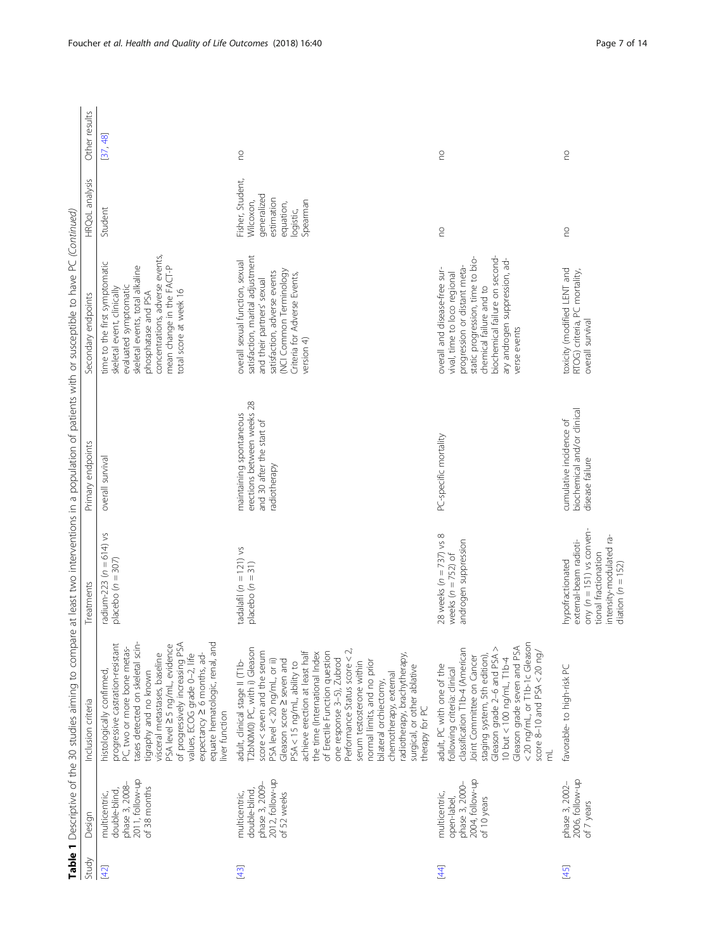| Study  | Design                                                                              | Inclusion criteria                                                                                                                                                                                                                                                                                                                                                                                                                                                                                                                                          | Treatments                                                                                                                                           | Primary endpoints                                                                                  | Table 1 Descriptive of the 30 studies aiming to compare at least two interventions in a population of patients with or susceptible to have PC (Continued)<br>Secondary endpoints                                                                | HRQoL analysis                                                                                   | Other results |
|--------|-------------------------------------------------------------------------------------|-------------------------------------------------------------------------------------------------------------------------------------------------------------------------------------------------------------------------------------------------------------------------------------------------------------------------------------------------------------------------------------------------------------------------------------------------------------------------------------------------------------------------------------------------------------|------------------------------------------------------------------------------------------------------------------------------------------------------|----------------------------------------------------------------------------------------------------|-------------------------------------------------------------------------------------------------------------------------------------------------------------------------------------------------------------------------------------------------|--------------------------------------------------------------------------------------------------|---------------|
| [42]   | 2011, follow-up<br>phase 3, 2008-<br>of 38 months<br>double-blind,<br>multicentric, | tases detected on skeletal scin-<br>equate hematologic, renal, and<br>of progressively increasing PSA<br>progressive castration-resistant<br>PSA level 25 ng/mL, evidence<br>PC, two or more bone metas-<br>expectancy ≥ 6 months, ad-<br>visceral metastases, baseline<br>values, ECOG grade 0-2, life<br>histologically confirmed,<br>tigraphy and no known<br>liver function                                                                                                                                                                             | radium-223 ( $n = 614$ ) vs<br>placebo $(n = 307)$                                                                                                   | overall survival                                                                                   | concentrations, adverse events,<br>time to the first symptomatic<br>mean change in the FACT-P<br>skeletal events, total alkaline<br>evaluated symptomatic<br>skeletal event, clinically<br>total score at week 16<br>phosphatase and PSA        | Student                                                                                          | [37, 48]      |
| $[43]$ | 2012, follow-up<br>phase 3, 2009-<br>double-blind,<br>multicentric,<br>of 52 weeks  | T2bN0M0) PC, with i) Gleason<br>Performance Status score < 2,<br>score < seven and the serum<br>achieve erection at least half<br>of Erectile Function question<br>the time (International Index<br>radiotherapy, brachytherapy,<br>one response 3-5), Zubrod<br>PSA level < 20 ng/mL, or ii)<br>Gleason score 2 seven and<br>normal limits, and no prior<br>adult, clinical stage II (T1b-<br>serum testosterone within<br>PSA < 15 ng/mL, ability to<br>surgical, or other ablative<br>chemotherapy, external<br>bilateral orchiectomy,<br>therapy for PC | tadalafil $(n = 121)$ vs<br>placebo $(n = 31)$                                                                                                       | erections between weeks 28<br>maintaining spontaneous<br>and 30 after the start of<br>radiotherapy | satisfaction, marital adjustment<br>overall sexual function, sexual<br>(NCI Common Terminology<br>satisfaction, adverse events<br>Criteria for Adverse Events,<br>and their partners' sexual<br>version 4)                                      | Fisher, Student,<br>generalized<br>estimation<br>Spearman<br>Wilcoxon,<br>equation,<br>logistic, | S             |
| [44]   | 2004, follow-up<br>phase 3, 2000-<br>multicentric,<br>of 10 years<br>open-label,    | < 20 ng/mL, or T1b-1c Gleason<br>Gleason grade seven and PSA<br>classification T1b-4 (American<br>Gleason grade 2-6 and PSA ><br>score 8-10 and PSA $<$ 20 ng/<br>staging system, 5th edition),<br>Joint Committee on Cancer<br>10 but $<$ 100 ng/mL, $71b-4$<br>adult, PC with one of the<br>following criteria: clinical<br>$\overline{\epsilon}$                                                                                                                                                                                                         | 28 weeks $(n = 737)$ vs 8<br>androgen suppression<br>weeks $(n = 752)$ of                                                                            | PC-specific mortality                                                                              | biochemical failure on second-<br>static progression, time to bio-<br>ary androgen suppression, ad-<br>progression or distant meta-<br>overall and disease-free sur-<br>vival, time to loco regional<br>chemical failure and to<br>verse events | S                                                                                                | S             |
| $[45]$ | 2006, follow-up<br>phase 3, 2002-<br>of 7 years                                     | favorable-to high-risk PC                                                                                                                                                                                                                                                                                                                                                                                                                                                                                                                                   | ony ( $n = 151$ ) vs conven-<br>intensity-modulated ra-<br>external-beam radioti-<br>tional fractionation<br>hypofractionated<br>diation $(n = 152)$ | biochemical and/or clinical<br>cumulative incidence of<br>disease failure                          | toxicity (modified LENT and<br>RTOG) criteria, PC mortality,<br>overall survival                                                                                                                                                                | S                                                                                                | S             |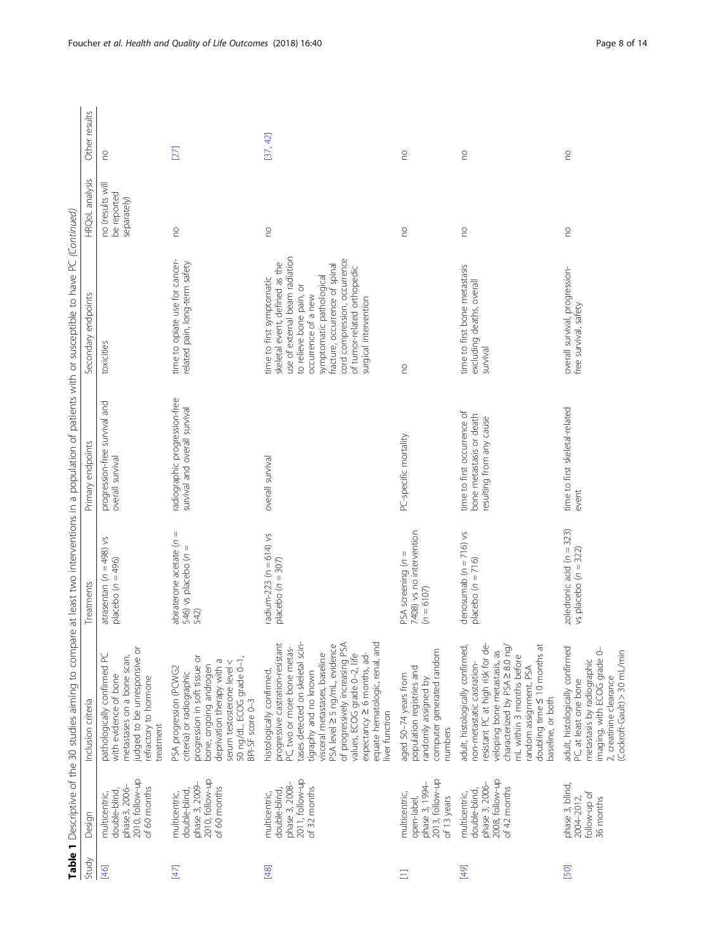|        |                                                                                     |                                                                                                                                                                                                                                                                                                                                                                                  |                                                                  |                                                                                     | Table 1 Descriptive of the 30 studies aiming to compare at least two interventions in a population of patients with or susceptible to have PC (Continued)                                                                                                                                              |                                                |               |
|--------|-------------------------------------------------------------------------------------|----------------------------------------------------------------------------------------------------------------------------------------------------------------------------------------------------------------------------------------------------------------------------------------------------------------------------------------------------------------------------------|------------------------------------------------------------------|-------------------------------------------------------------------------------------|--------------------------------------------------------------------------------------------------------------------------------------------------------------------------------------------------------------------------------------------------------------------------------------------------------|------------------------------------------------|---------------|
| Study  | Design                                                                              | Inclusion criteria                                                                                                                                                                                                                                                                                                                                                               | Treatments                                                       | Primary endpoints                                                                   | Secondary endpoints                                                                                                                                                                                                                                                                                    | HRQoL analysis                                 | Other results |
| [46]   | 2010, follow-up<br>phase3, 2006-<br>of 60 months<br>double-blind,<br>multicentric,  | judged to be unresponsive or<br>pathologically confirmed PC<br>metastases on a bone scan,<br>with evidence of bone<br>refractory to hormone<br>treatment                                                                                                                                                                                                                         | atrasentan ( $n = 498$ ) vs<br>placebo $(n = 496)$               | progression-free survival and<br>overall survival                                   | toxicities                                                                                                                                                                                                                                                                                             | no (results will<br>be reported<br>separately) | S             |
| $[47]$ | 2010, follow-up<br>phase 3, 2009-<br>of 60 months<br>double-blind,<br>multicentric, | progression in soft tissue or<br>50 ng/dL, ECOG grade 0-1,<br>deprivation therapy with a<br>serum testosterone level <<br>bone, ongoing androgen<br>PSA progression (PCWG2<br>criteria) or radiographic<br>BPI-SF score 0-3                                                                                                                                                      | abiraterone acetate ( $n =$<br>546) vs placebo (n =<br>542)      | radiographic progression-free<br>survival and overall survival                      | time to opiate use for cancer-<br>related pain, long-term safety                                                                                                                                                                                                                                       | S                                              | $[27]$        |
| [48]   | 2011, follow-up<br>phase 3, 2008-<br>of 32 months<br>double-blind,<br>multicentric, | equate hematologic, renal, and<br>of progressively increasing PSA<br>progressive castration-resistant<br>tases detected on skeletal scin-<br>PSA level 2 5 ng/mL, evidence<br>PC, two or more bone metas-<br>visceral metastases, baseline<br>values, ECOG grade 0-2, life<br>expectancy ≥ 6 months, ad-<br>histologically confirmed,<br>tigraphy and no known<br>liver function | radium-223 (n = 614) vs<br>placebo $(n = 307)$                   | overall survival                                                                    | use of external beam radiation<br>cord compression, occurrence<br>skeletal event, defined as the<br>fracture, occurrence of spinal<br>of tumor-related orthopedic<br>symptomatic pathological<br>time to first symptomatic<br>to relieve bone pain, or<br>occurrence of a new<br>surgical intervention | S                                              | [37, 42]      |
| Ξ      | 2013, follow-up<br>phase 3, 1994-<br>multicentric,<br>of 13 years<br>open-label,    | computer generated random<br>population registries and<br>aged 50-74 years from<br>randomly assigned by<br>numbers                                                                                                                                                                                                                                                               | 7408) vs no intervention<br>PSA screening $(n =$<br>$(n = 6107)$ | PC-specific mortality                                                               | <b>DU</b>                                                                                                                                                                                                                                                                                              | S                                              | S             |
| [49]   | 2008, follow-up<br>phase 3, 2006-<br>of 42 months<br>double-blind,<br>multicentric, | resistant PC at high risk for de-<br>adult, histologically confirmed,<br>doubling time $\leq 10$ months at<br>characterized by PSA ≥ 8.0 ng/<br>veloping bone metastasis, as<br>mL within 3 months before<br>non-metastatic castration-<br>random assignment, PSA<br>baseline, or both                                                                                           | denosumab $(n = 716)$ vs<br>placebo $(n = 716)$                  | time to first occurrence of<br>bone metastasis or death<br>resulting from any cause | time to first bone metastasis<br>excluding deaths, overall<br>survival                                                                                                                                                                                                                                 | S                                              | S             |
| [50]   | phase 3, blind,<br>follow-up of<br>2004-2012,<br>36 months                          | adult, histologically confirmed<br>imaging, with ECOG grade 0-<br>(Cockroft-Gault) > 30 mL/min<br>metastasis by radiographic<br>2, creatinine clearance<br>PC, at least one bone                                                                                                                                                                                                 | zoledronic acid ( $n = 323$ )<br>vs placebo ( $n = 322$ )        | time to first skeletal-related<br>event                                             | overall survival, progression-<br>free survival, safety                                                                                                                                                                                                                                                | S                                              | S             |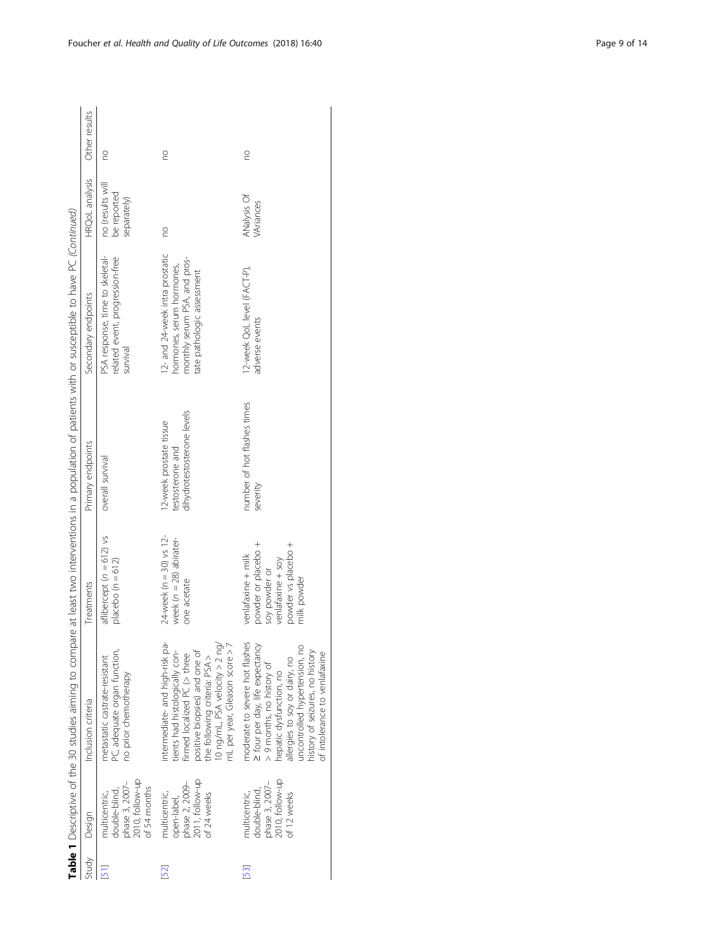|       |                                                                                     |                                                                                                                                                                                                                                                                 |                                                                                                                       |                                                                           | Table 1 Descriptive of the 30 studies aiming to compare at least two interventions in a population of patients with or susceptible to have PC (Continued) |                                                |               |
|-------|-------------------------------------------------------------------------------------|-----------------------------------------------------------------------------------------------------------------------------------------------------------------------------------------------------------------------------------------------------------------|-----------------------------------------------------------------------------------------------------------------------|---------------------------------------------------------------------------|-----------------------------------------------------------------------------------------------------------------------------------------------------------|------------------------------------------------|---------------|
| Study | Design                                                                              | Inclusion criteria                                                                                                                                                                                                                                              | Treatments                                                                                                            | Primary endpoints                                                         | Secondary endpoints                                                                                                                                       | HRQoL analysis                                 | Other results |
|       | 2010, follow-up<br>phase 3, 2007-<br>of 54 months<br>double-blind,<br>multicentric, | PC adequate organ function,<br>metastatic castrate-resistant<br>no prior chemotherapy                                                                                                                                                                           | aflibercept $(n = 612)$ vs<br>placebo ( $n = 612$ )                                                                   | overall survival                                                          | PSA response, time to skeletal-<br>related event, progression-free<br>survival                                                                            | no (results will<br>be reported<br>separately) | S             |
| 52)   | 2011, follow-up<br>phase 2, 2009-<br>multicentric,<br>of 24 weeks<br>open-label,    | intermediate- and high-risk pa-<br>10 ng/mL, PSA velocity > 2 ng/<br>mL per year, Gleason score > 7<br>positive biopsies) and one of<br>tients had histologically con-<br>firmed localized PC (> three<br>the following criteria: PSA >                         | $24$ -week (n = 30) vs 12-<br>week $(n = 28)$ abirater-<br>one acetate                                                | dihydrotestosterone levels<br>12-week prostate tissue<br>testosterone and | 12- and 24-week intra prostatic<br>monthly serum PSA, and pros-<br>hormones, serum hormones,<br>tate pathologic assessment                                | S                                              | g             |
| 53)   | 2010, follow-up<br>phase 3, 2007-<br>double-blind,<br>multicentric,<br>of 12 weeks  | moderate to severe hot flashes<br>> four per day, life expectancy<br>uncontrolled hypertension, no<br>history of seizures, no history<br>of intolerance to venlafaxine<br>allergies to soy or dairy, no<br>> 9 months, no history of<br>hepatic dysfunction, no | powder or placebo +<br>powder vs placebo +<br>venlafaxine + milk<br>venlataxine + soy<br>soy powder or<br>milk powder | number of hot flashes times<br>severity                                   | 12-week QoL level (FACT-P),<br>adverse events                                                                                                             | ANalysis Of<br>VAriances                       | S             |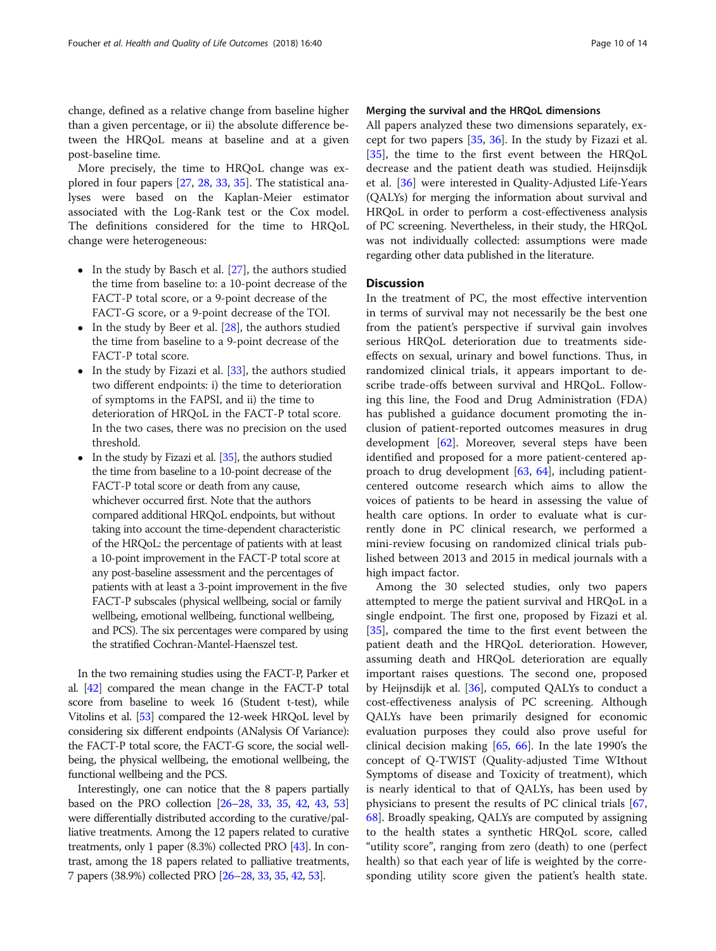change, defined as a relative change from baseline higher than a given percentage, or ii) the absolute difference between the HRQoL means at baseline and at a given post-baseline time.

More precisely, the time to HRQoL change was explored in four papers [[27](#page-12-0), [28](#page-12-0), [33](#page-12-0), [35](#page-12-0)]. The statistical analyses were based on the Kaplan-Meier estimator associated with the Log-Rank test or the Cox model. The definitions considered for the time to HRQoL change were heterogeneous:

- $\bullet$  In the study by Basch et al. [\[27](#page-12-0)], the authors studied the time from baseline to: a 10-point decrease of the FACT-P total score, or a 9-point decrease of the FACT-G score, or a 9-point decrease of the TOI.
- $\bullet$  In the study by Beer et al. [\[28\]](#page-12-0), the authors studied the time from baseline to a 9-point decrease of the FACT-P total score.
- In the study by Fizazi et al.  $[33]$  $[33]$  $[33]$ , the authors studied two different endpoints: i) the time to deterioration of symptoms in the FAPSI, and ii) the time to deterioration of HRQoL in the FACT-P total score. In the two cases, there was no precision on the used threshold.
- In the study by Fizazi et al. [\[35](#page-12-0)], the authors studied the time from baseline to a 10-point decrease of the FACT-P total score or death from any cause, whichever occurred first. Note that the authors compared additional HRQoL endpoints, but without taking into account the time-dependent characteristic of the HRQoL: the percentage of patients with at least a 10-point improvement in the FACT-P total score at any post-baseline assessment and the percentages of patients with at least a 3-point improvement in the five FACT-P subscales (physical wellbeing, social or family wellbeing, emotional wellbeing, functional wellbeing, and PCS). The six percentages were compared by using the stratified Cochran-Mantel-Haenszel test.

In the two remaining studies using the FACT-P, Parker et al. [[42](#page-12-0)] compared the mean change in the FACT-P total score from baseline to week 16 (Student t-test), while Vitolins et al. [\[53](#page-12-0)] compared the 12-week HRQoL level by considering six different endpoints (ANalysis Of Variance): the FACT-P total score, the FACT-G score, the social wellbeing, the physical wellbeing, the emotional wellbeing, the functional wellbeing and the PCS.

Interestingly, one can notice that the 8 papers partially based on the PRO collection [\[26](#page-12-0)–[28,](#page-12-0) [33,](#page-12-0) [35,](#page-12-0) [42,](#page-12-0) [43,](#page-12-0) [53](#page-12-0)] were differentially distributed according to the curative/palliative treatments. Among the 12 papers related to curative treatments, only 1 paper (8.3%) collected PRO [\[43\]](#page-12-0). In contrast, among the 18 papers related to palliative treatments, 7 papers (38.9%) collected PRO [\[26](#page-12-0)–[28,](#page-12-0) [33,](#page-12-0) [35,](#page-12-0) [42,](#page-12-0) [53\]](#page-12-0).

# Merging the survival and the HRQoL dimensions

All papers analyzed these two dimensions separately, except for two papers [[35,](#page-12-0) [36\]](#page-12-0). In the study by Fizazi et al. [[35\]](#page-12-0), the time to the first event between the HRQoL decrease and the patient death was studied. Heijnsdijk et al. [\[36](#page-12-0)] were interested in Quality-Adjusted Life-Years (QALYs) for merging the information about survival and HRQoL in order to perform a cost-effectiveness analysis of PC screening. Nevertheless, in their study, the HRQoL was not individually collected: assumptions were made regarding other data published in the literature.

# **Discussion**

In the treatment of PC, the most effective intervention in terms of survival may not necessarily be the best one from the patient's perspective if survival gain involves serious HRQoL deterioration due to treatments sideeffects on sexual, urinary and bowel functions. Thus, in randomized clinical trials, it appears important to describe trade-offs between survival and HRQoL. Following this line, the Food and Drug Administration (FDA) has published a guidance document promoting the inclusion of patient-reported outcomes measures in drug development [\[62](#page-12-0)]. Moreover, several steps have been identified and proposed for a more patient-centered approach to drug development [[63](#page-13-0), [64](#page-13-0)], including patientcentered outcome research which aims to allow the voices of patients to be heard in assessing the value of health care options. In order to evaluate what is currently done in PC clinical research, we performed a mini-review focusing on randomized clinical trials published between 2013 and 2015 in medical journals with a high impact factor.

Among the 30 selected studies, only two papers attempted to merge the patient survival and HRQoL in a single endpoint. The first one, proposed by Fizazi et al. [[35\]](#page-12-0), compared the time to the first event between the patient death and the HRQoL deterioration. However, assuming death and HRQoL deterioration are equally important raises questions. The second one, proposed by Heijnsdijk et al. [[36\]](#page-12-0), computed QALYs to conduct a cost-effectiveness analysis of PC screening. Although QALYs have been primarily designed for economic evaluation purposes they could also prove useful for clinical decision making [[65,](#page-13-0) [66\]](#page-13-0). In the late 1990's the concept of Q-TWIST (Quality-adjusted Time WIthout Symptoms of disease and Toxicity of treatment), which is nearly identical to that of QALYs, has been used by physicians to present the results of PC clinical trials [[67](#page-13-0), [68\]](#page-13-0). Broadly speaking, QALYs are computed by assigning to the health states a synthetic HRQoL score, called "utility score", ranging from zero (death) to one (perfect health) so that each year of life is weighted by the corresponding utility score given the patient's health state.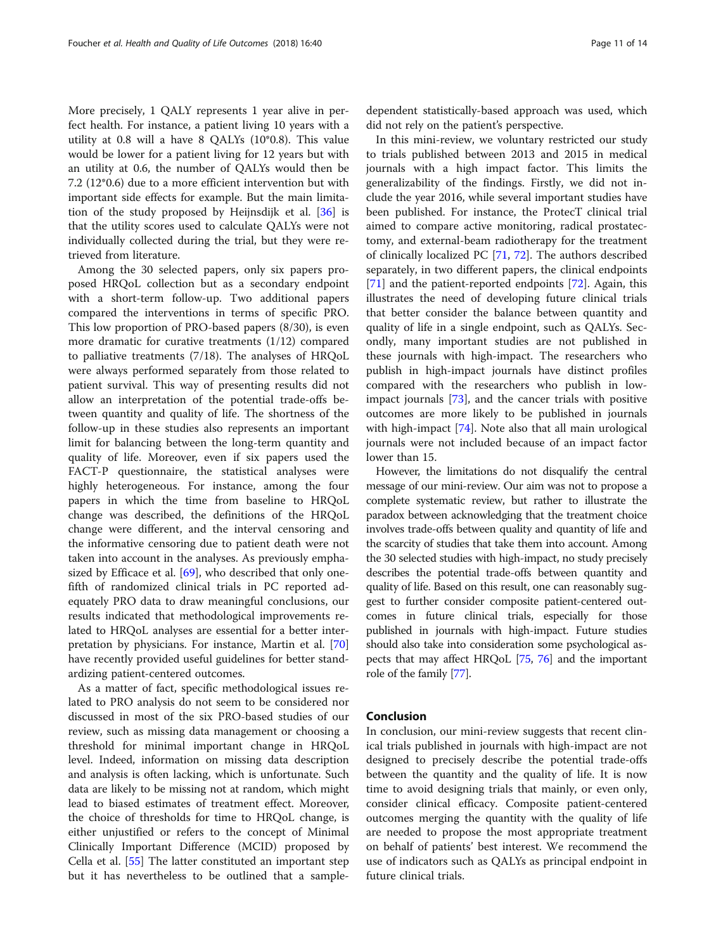More precisely, 1 QALY represents 1 year alive in perfect health. For instance, a patient living 10 years with a utility at 0.8 will a have 8 QALYs (10\*0.8). This value would be lower for a patient living for 12 years but with an utility at 0.6, the number of QALYs would then be 7.2 (12\*0.6) due to a more efficient intervention but with important side effects for example. But the main limitation of the study proposed by Heijnsdijk et al. [[36](#page-12-0)] is that the utility scores used to calculate QALYs were not individually collected during the trial, but they were retrieved from literature.

Among the 30 selected papers, only six papers proposed HRQoL collection but as a secondary endpoint with a short-term follow-up. Two additional papers compared the interventions in terms of specific PRO. This low proportion of PRO-based papers (8/30), is even more dramatic for curative treatments (1/12) compared to palliative treatments (7/18). The analyses of HRQoL were always performed separately from those related to patient survival. This way of presenting results did not allow an interpretation of the potential trade-offs between quantity and quality of life. The shortness of the follow-up in these studies also represents an important limit for balancing between the long-term quantity and quality of life. Moreover, even if six papers used the FACT-P questionnaire, the statistical analyses were highly heterogeneous. For instance, among the four papers in which the time from baseline to HRQoL change was described, the definitions of the HRQoL change were different, and the interval censoring and the informative censoring due to patient death were not taken into account in the analyses. As previously empha-sized by Efficace et al. [[69](#page-13-0)], who described that only onefifth of randomized clinical trials in PC reported adequately PRO data to draw meaningful conclusions, our results indicated that methodological improvements related to HRQoL analyses are essential for a better interpretation by physicians. For instance, Martin et al. [[70](#page-13-0)] have recently provided useful guidelines for better standardizing patient-centered outcomes.

As a matter of fact, specific methodological issues related to PRO analysis do not seem to be considered nor discussed in most of the six PRO-based studies of our review, such as missing data management or choosing a threshold for minimal important change in HRQoL level. Indeed, information on missing data description and analysis is often lacking, which is unfortunate. Such data are likely to be missing not at random, which might lead to biased estimates of treatment effect. Moreover, the choice of thresholds for time to HRQoL change, is either unjustified or refers to the concept of Minimal Clinically Important Difference (MCID) proposed by Cella et al. [\[55\]](#page-12-0) The latter constituted an important step but it has nevertheless to be outlined that a sampledependent statistically-based approach was used, which did not rely on the patient's perspective.

In this mini-review, we voluntary restricted our study to trials published between 2013 and 2015 in medical journals with a high impact factor. This limits the generalizability of the findings. Firstly, we did not include the year 2016, while several important studies have been published. For instance, the ProtecT clinical trial aimed to compare active monitoring, radical prostatectomy, and external-beam radiotherapy for the treatment of clinically localized PC [[71](#page-13-0), [72\]](#page-13-0). The authors described separately, in two different papers, the clinical endpoints [[71\]](#page-13-0) and the patient-reported endpoints [[72\]](#page-13-0). Again, this illustrates the need of developing future clinical trials that better consider the balance between quantity and quality of life in a single endpoint, such as QALYs. Secondly, many important studies are not published in these journals with high-impact. The researchers who publish in high-impact journals have distinct profiles compared with the researchers who publish in lowimpact journals [\[73](#page-13-0)], and the cancer trials with positive outcomes are more likely to be published in journals with high-impact [[74](#page-13-0)]. Note also that all main urological journals were not included because of an impact factor lower than 15.

However, the limitations do not disqualify the central message of our mini-review. Our aim was not to propose a complete systematic review, but rather to illustrate the paradox between acknowledging that the treatment choice involves trade-offs between quality and quantity of life and the scarcity of studies that take them into account. Among the 30 selected studies with high-impact, no study precisely describes the potential trade-offs between quantity and quality of life. Based on this result, one can reasonably suggest to further consider composite patient-centered outcomes in future clinical trials, especially for those published in journals with high-impact. Future studies should also take into consideration some psychological aspects that may affect HRQoL [\[75,](#page-13-0) [76](#page-13-0)] and the important role of the family [[77](#page-13-0)].

# Conclusion

In conclusion, our mini-review suggests that recent clinical trials published in journals with high-impact are not designed to precisely describe the potential trade-offs between the quantity and the quality of life. It is now time to avoid designing trials that mainly, or even only, consider clinical efficacy. Composite patient-centered outcomes merging the quantity with the quality of life are needed to propose the most appropriate treatment on behalf of patients' best interest. We recommend the use of indicators such as QALYs as principal endpoint in future clinical trials.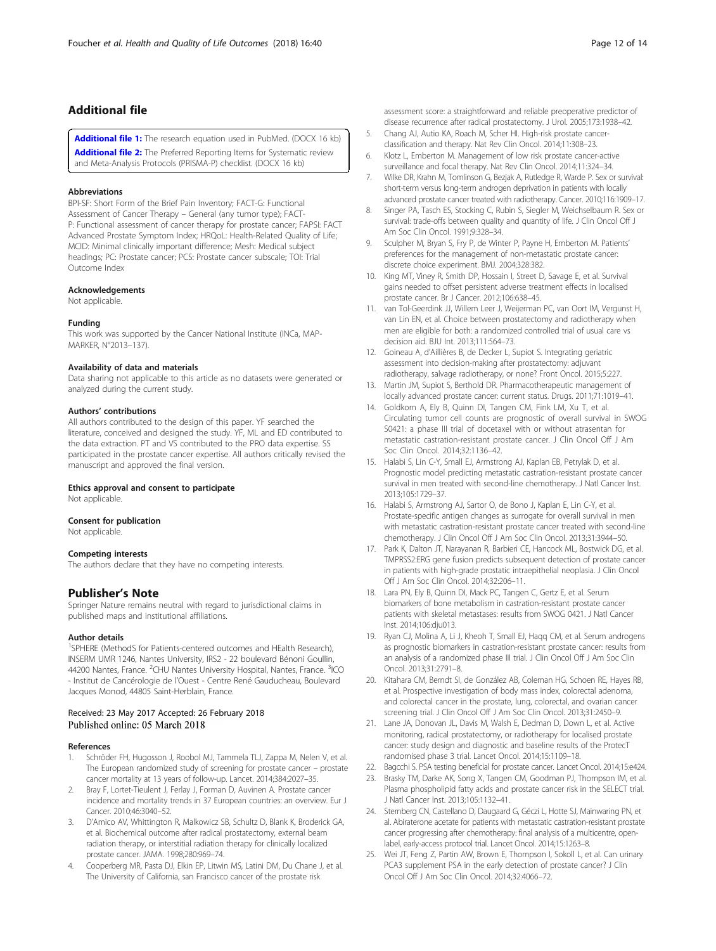# <span id="page-11-0"></span>Additional file

[Additional file 1:](https://doi.org/10.1186/s12955-018-0870-6) The research equation used in PubMed. (DOCX 16 kb) [Additional file 2:](https://doi.org/10.1186/s12955-018-0870-6) The Preferred Reporting Items for Systematic review and Meta-Analysis Protocols (PRISMA-P) checklist. (DOCX 16 kb)

#### Abbreviations

BPI-SF: Short Form of the Brief Pain Inventory; FACT-G: Functional Assessment of Cancer Therapy – General (any tumor type); FACT-P: Functional assessment of cancer therapy for prostate cancer; FAPSI: FACT Advanced Prostate Symptom Index; HRQoL: Health-Related Quality of Life; MCID: Minimal clinically important difference; Mesh: Medical subject headings; PC: Prostate cancer; PCS: Prostate cancer subscale; TOI: Trial Outcome Index

# Acknowledgements

Not applicable.

### Funding

This work was supported by the Cancer National Institute (INCa, MAP-MARKER, N°2013–137).

## Availability of data and materials

Data sharing not applicable to this article as no datasets were generated or analyzed during the current study.

# Authors' contributions

All authors contributed to the design of this paper. YF searched the literature, conceived and designed the study. YF, ML and ED contributed to the data extraction. PT and VS contributed to the PRO data expertise. SS participated in the prostate cancer expertise. All authors critically revised the manuscript and approved the final version.

#### Ethics approval and consent to participate

Not applicable.

#### Consent for publication

Not applicable.

#### Competing interests

The authors declare that they have no competing interests.

# Publisher's Note

Springer Nature remains neutral with regard to jurisdictional claims in published maps and institutional affiliations.

## Author details

<sup>1</sup>SPHERE (MethodS for Patients-centered outcomes and HEalth Research), INSERM UMR 1246, Nantes University, IRS2 - 22 boulevard Bénoni Goullin, 44200 Nantes, France. <sup>2</sup>CHU Nantes University Hospital, Nantes, France. <sup>3</sup>ICO - Institut de Cancérologie de l'Ouest - Centre René Gauducheau, Boulevard Jacques Monod, 44805 Saint-Herblain, France.

# Received: 23 May 2017 Accepted: 26 February 2018 Published online: 05 March 2018

### References

- Schröder FH, Hugosson J, Roobol MJ, Tammela TLJ, Zappa M, Nelen V, et al. The European randomized study of screening for prostate cancer – prostate cancer mortality at 13 years of follow-up. Lancet. 2014;384:2027–35.
- 2. Bray F, Lortet-Tieulent J, Ferlay J, Forman D, Auvinen A. Prostate cancer incidence and mortality trends in 37 European countries: an overview. Eur J Cancer. 2010;46:3040–52.
- 3. D'Amico AV, Whittington R, Malkowicz SB, Schultz D, Blank K, Broderick GA, et al. Biochemical outcome after radical prostatectomy, external beam radiation therapy, or interstitial radiation therapy for clinically localized prostate cancer. JAMA. 1998;280:969–74.
- 4. Cooperberg MR, Pasta DJ, Elkin EP, Litwin MS, Latini DM, Du Chane J, et al. The University of California, san Francisco cancer of the prostate risk

assessment score: a straightforward and reliable preoperative predictor of disease recurrence after radical prostatectomy. J Urol. 2005;173:1938–42.

- 5. Chang AJ, Autio KA, Roach M, Scher HI. High-risk prostate cancerclassification and therapy. Nat Rev Clin Oncol. 2014;11:308–23.
- 6. Klotz L, Emberton M. Management of low risk prostate cancer-active surveillance and focal therapy. Nat Rev Clin Oncol. 2014;11:324–34.
- 7. Wilke DR, Krahn M, Tomlinson G, Bezjak A, Rutledge R, Warde P. Sex or survival: short-term versus long-term androgen deprivation in patients with locally advanced prostate cancer treated with radiotherapy. Cancer. 2010;116:1909–17.
- 8. Singer PA, Tasch ES, Stocking C, Rubin S, Siegler M, Weichselbaum R. Sex or survival: trade-offs between quality and quantity of life. J Clin Oncol Off J Am Soc Clin Oncol. 1991;9:328–34.
- 9. Sculpher M, Bryan S, Fry P, de Winter P, Payne H, Emberton M. Patients' preferences for the management of non-metastatic prostate cancer: discrete choice experiment. BMJ. 2004;328:382.
- 10. King MT, Viney R, Smith DP, Hossain I, Street D, Savage E, et al. Survival gains needed to offset persistent adverse treatment effects in localised prostate cancer. Br J Cancer. 2012;106:638–45.
- 11. van Tol-Geerdink JJ, Willem Leer J, Weijerman PC, van Oort IM, Vergunst H, van Lin EN, et al. Choice between prostatectomy and radiotherapy when men are eligible for both: a randomized controlled trial of usual care vs decision aid. BJU Int. 2013;111:564–73.
- 12. Goineau A, d'Aillières B, de Decker L, Supiot S. Integrating geriatric assessment into decision-making after prostatectomy: adjuvant radiotherapy, salvage radiotherapy, or none? Front Oncol. 2015;5:227.
- 13. Martin JM, Supiot S, Berthold DR. Pharmacotherapeutic management of locally advanced prostate cancer: current status. Drugs. 2011;71:1019–41.
- 14. Goldkorn A, Ely B, Quinn DI, Tangen CM, Fink LM, Xu T, et al. Circulating tumor cell counts are prognostic of overall survival in SWOG S0421: a phase III trial of docetaxel with or without atrasentan for metastatic castration-resistant prostate cancer. J Clin Oncol Off J Am Soc Clin Oncol. 2014;32:1136–42.
- 15. Halabi S, Lin C-Y, Small EJ, Armstrong AJ, Kaplan EB, Petrylak D, et al. Prognostic model predicting metastatic castration-resistant prostate cancer survival in men treated with second-line chemotherapy. J Natl Cancer Inst. 2013;105:1729–37.
- 16. Halabi S, Armstrong AJ, Sartor O, de Bono J, Kaplan E, Lin C-Y, et al. Prostate-specific antigen changes as surrogate for overall survival in men with metastatic castration-resistant prostate cancer treated with second-line chemotherapy. J Clin Oncol Off J Am Soc Clin Oncol. 2013;31:3944–50.
- 17. Park K, Dalton JT, Narayanan R, Barbieri CE, Hancock ML, Bostwick DG, et al. TMPRSS2:ERG gene fusion predicts subsequent detection of prostate cancer in patients with high-grade prostatic intraepithelial neoplasia. J Clin Oncol Off J Am Soc Clin Oncol. 2014;32:206–11.
- 18. Lara PN, Ely B, Quinn DI, Mack PC, Tangen C, Gertz E, et al. Serum biomarkers of bone metabolism in castration-resistant prostate cancer patients with skeletal metastases: results from SWOG 0421. J Natl Cancer Inst. 2014;106:dju013.
- 19. Ryan CJ, Molina A, Li J, Kheoh T, Small EJ, Haqq CM, et al. Serum androgens as prognostic biomarkers in castration-resistant prostate cancer: results from an analysis of a randomized phase III trial. J Clin Oncol Off J Am Soc Clin Oncol. 2013;31:2791–8.
- 20. Kitahara CM, Berndt SI, de González AB, Coleman HG, Schoen RE, Hayes RB, et al. Prospective investigation of body mass index, colorectal adenoma, and colorectal cancer in the prostate, lung, colorectal, and ovarian cancer screening trial. J Clin Oncol Off J Am Soc Clin Oncol. 2013;31:2450–9.
- 21. Lane JA, Donovan JL, Davis M, Walsh E, Dedman D, Down L, et al. Active monitoring, radical prostatectomy, or radiotherapy for localised prostate cancer: study design and diagnostic and baseline results of the ProtecT randomised phase 3 trial. Lancet Oncol. 2014;15:1109–18.
- 22. Bagcchi S. PSA testing beneficial for prostate cancer. Lancet Oncol. 2014;15:e424.
- 23. Brasky TM, Darke AK, Song X, Tangen CM, Goodman PJ, Thompson IM, et al. Plasma phospholipid fatty acids and prostate cancer risk in the SELECT trial. J Natl Cancer Inst. 2013;105:1132–41.
- 24. Sternberg CN, Castellano D, Daugaard G, Géczi L, Hotte SJ, Mainwaring PN, et al. Abiraterone acetate for patients with metastatic castration-resistant prostate cancer progressing after chemotherapy: final analysis of a multicentre, openlabel, early-access protocol trial. Lancet Oncol. 2014;15:1263–8.
- 25. Wei JT, Feng Z, Partin AW, Brown E, Thompson I, Sokoll L, et al. Can urinary PCA3 supplement PSA in the early detection of prostate cancer? J Clin Oncol Off J Am Soc Clin Oncol. 2014;32:4066–72.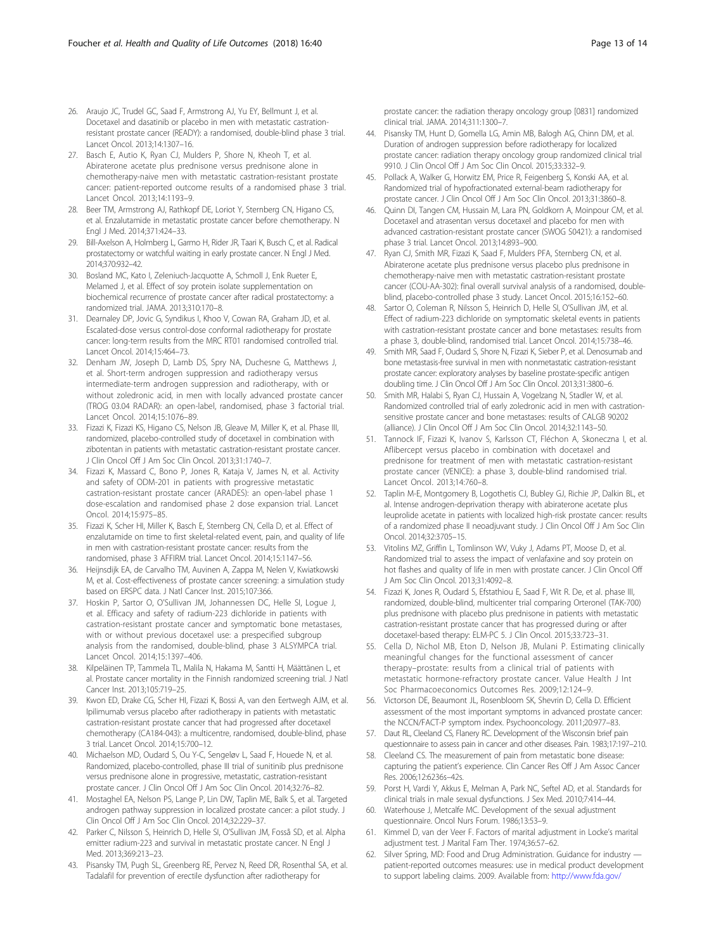- <span id="page-12-0"></span>26. Araujo JC, Trudel GC, Saad F, Armstrong AJ, Yu EY, Bellmunt J, et al. Docetaxel and dasatinib or placebo in men with metastatic castrationresistant prostate cancer (READY): a randomised, double-blind phase 3 trial. Lancet Oncol. 2013;14:1307–16.
- 27. Basch E, Autio K, Ryan CJ, Mulders P, Shore N, Kheoh T, et al. Abiraterone acetate plus prednisone versus prednisone alone in chemotherapy-naive men with metastatic castration-resistant prostate cancer: patient-reported outcome results of a randomised phase 3 trial. Lancet Oncol. 2013;14:1193–9.
- 28. Beer TM, Armstrong AJ, Rathkopf DE, Loriot Y, Sternberg CN, Higano CS, et al. Enzalutamide in metastatic prostate cancer before chemotherapy. N Engl J Med. 2014;371:424–33.
- 29. Bill-Axelson A, Holmberg L, Garmo H, Rider JR, Taari K, Busch C, et al. Radical prostatectomy or watchful waiting in early prostate cancer. N Engl J Med. 2014;370:932–42.
- 30. Bosland MC, Kato I, Zeleniuch-Jacquotte A, Schmoll J, Enk Rueter E, Melamed J, et al. Effect of soy protein isolate supplementation on biochemical recurrence of prostate cancer after radical prostatectomy: a randomized trial. JAMA. 2013;310:170–8.
- 31. Dearnaley DP, Jovic G, Syndikus I, Khoo V, Cowan RA, Graham JD, et al. Escalated-dose versus control-dose conformal radiotherapy for prostate cancer: long-term results from the MRC RT01 randomised controlled trial. Lancet Oncol. 2014;15:464–73.
- 32. Denham JW, Joseph D, Lamb DS, Spry NA, Duchesne G, Matthews J, et al. Short-term androgen suppression and radiotherapy versus intermediate-term androgen suppression and radiotherapy, with or without zoledronic acid, in men with locally advanced prostate cancer (TROG 03.04 RADAR): an open-label, randomised, phase 3 factorial trial. Lancet Oncol. 2014;15:1076–89.
- 33. Fizazi K, Fizazi KS, Higano CS, Nelson JB, Gleave M, Miller K, et al. Phase III, randomized, placebo-controlled study of docetaxel in combination with zibotentan in patients with metastatic castration-resistant prostate cancer. J Clin Oncol Off J Am Soc Clin Oncol. 2013;31:1740–7.
- 34. Fizazi K, Massard C, Bono P, Jones R, Kataja V, James N, et al. Activity and safety of ODM-201 in patients with progressive metastatic castration-resistant prostate cancer (ARADES): an open-label phase 1 dose-escalation and randomised phase 2 dose expansion trial. Lancet Oncol. 2014;15:975–85.
- 35. Fizazi K, Scher HI, Miller K, Basch E, Sternberg CN, Cella D, et al. Effect of enzalutamide on time to first skeletal-related event, pain, and quality of life in men with castration-resistant prostate cancer: results from the randomised, phase 3 AFFIRM trial. Lancet Oncol. 2014;15:1147–56.
- 36. Heijnsdijk EA, de Carvalho TM, Auvinen A, Zappa M, Nelen V, Kwiatkowski M, et al. Cost-effectiveness of prostate cancer screening: a simulation study based on ERSPC data. J Natl Cancer Inst. 2015;107:366.
- 37. Hoskin P, Sartor O, O'Sullivan JM, Johannessen DC, Helle SI, Logue J, et al. Efficacy and safety of radium-223 dichloride in patients with castration-resistant prostate cancer and symptomatic bone metastases, with or without previous docetaxel use: a prespecified subgroup analysis from the randomised, double-blind, phase 3 ALSYMPCA trial. Lancet Oncol. 2014;15:1397–406.
- 38. Kilpeläinen TP, Tammela TL, Malila N, Hakama M, Santti H, Määttänen L, et al. Prostate cancer mortality in the Finnish randomized screening trial. J Natl Cancer Inst. 2013;105:719–25.
- 39. Kwon ED, Drake CG, Scher HI, Fizazi K, Bossi A, van den Eertwegh AJM, et al. Ipilimumab versus placebo after radiotherapy in patients with metastatic castration-resistant prostate cancer that had progressed after docetaxel chemotherapy (CA184-043): a multicentre, randomised, double-blind, phase 3 trial. Lancet Oncol. 2014;15:700–12.
- 40. Michaelson MD, Oudard S, Ou Y-C, Sengeløv L, Saad F, Houede N, et al. Randomized, placebo-controlled, phase III trial of sunitinib plus prednisone versus prednisone alone in progressive, metastatic, castration-resistant prostate cancer. J Clin Oncol Off J Am Soc Clin Oncol. 2014;32:76–82.
- 41. Mostaghel EA, Nelson PS, Lange P, Lin DW, Taplin ME, Balk S, et al. Targeted androgen pathway suppression in localized prostate cancer: a pilot study. J Clin Oncol Off J Am Soc Clin Oncol. 2014;32:229–37.
- 42. Parker C, Nilsson S, Heinrich D, Helle SI, O'Sullivan JM, Fosså SD, et al. Alpha emitter radium-223 and survival in metastatic prostate cancer. N Engl J Med. 2013;369:213–23.
- 43. Pisansky TM, Pugh SL, Greenberg RE, Pervez N, Reed DR, Rosenthal SA, et al. Tadalafil for prevention of erectile dysfunction after radiotherapy for

prostate cancer: the radiation therapy oncology group [0831] randomized clinical trial. JAMA. 2014;311:1300–7.

- 44. Pisansky TM, Hunt D, Gomella LG, Amin MB, Balogh AG, Chinn DM, et al. Duration of androgen suppression before radiotherapy for localized prostate cancer: radiation therapy oncology group randomized clinical trial 9910. J Clin Oncol Off J Am Soc Clin Oncol. 2015;33:332–9.
- 45. Pollack A, Walker G, Horwitz EM, Price R, Feigenberg S, Konski AA, et al. Randomized trial of hypofractionated external-beam radiotherapy for prostate cancer. J Clin Oncol Off J Am Soc Clin Oncol. 2013;31:3860–8.
- 46. Quinn DI, Tangen CM, Hussain M, Lara PN, Goldkorn A, Moinpour CM, et al. Docetaxel and atrasentan versus docetaxel and placebo for men with advanced castration-resistant prostate cancer (SWOG S0421): a randomised phase 3 trial. Lancet Oncol. 2013;14:893–900.
- 47. Ryan CJ, Smith MR, Fizazi K, Saad F, Mulders PFA, Sternberg CN, et al. Abiraterone acetate plus prednisone versus placebo plus prednisone in chemotherapy-naive men with metastatic castration-resistant prostate cancer (COU-AA-302): final overall survival analysis of a randomised, doubleblind, placebo-controlled phase 3 study. Lancet Oncol. 2015;16:152–60.
- 48. Sartor O, Coleman R, Nilsson S, Heinrich D, Helle SI, O'Sullivan JM, et al. Effect of radium-223 dichloride on symptomatic skeletal events in patients with castration-resistant prostate cancer and bone metastases: results from a phase 3, double-blind, randomised trial. Lancet Oncol. 2014;15:738–46.
- 49. Smith MR, Saad F, Oudard S, Shore N, Fizazi K, Sieber P, et al. Denosumab and bone metastasis-free survival in men with nonmetastatic castration-resistant prostate cancer: exploratory analyses by baseline prostate-specific antigen doubling time. J Clin Oncol Off J Am Soc Clin Oncol. 2013;31:3800–6.
- 50. Smith MR, Halabi S, Ryan CJ, Hussain A, Vogelzang N, Stadler W, et al. Randomized controlled trial of early zoledronic acid in men with castrationsensitive prostate cancer and bone metastases: results of CALGB 90202 (alliance). J Clin Oncol Off J Am Soc Clin Oncol. 2014;32:1143–50.
- 51. Tannock IF, Fizazi K, Ivanov S, Karlsson CT, Fléchon A, Skoneczna I, et al. Aflibercept versus placebo in combination with docetaxel and prednisone for treatment of men with metastatic castration-resistant prostate cancer (VENICE): a phase 3, double-blind randomised trial. Lancet Oncol. 2013;14:760–8.
- 52. Taplin M-E, Montgomery B, Logothetis CJ, Bubley GJ, Richie JP, Dalkin BL, et al. Intense androgen-deprivation therapy with abiraterone acetate plus leuprolide acetate in patients with localized high-risk prostate cancer: results of a randomized phase II neoadjuvant study. J Clin Oncol Off J Am Soc Clin Oncol. 2014;32:3705–15.
- 53. Vitolins MZ, Griffin L, Tomlinson WV, Vuky J, Adams PT, Moose D, et al. Randomized trial to assess the impact of venlafaxine and soy protein on hot flashes and quality of life in men with prostate cancer. J Clin Oncol Off J Am Soc Clin Oncol. 2013;31:4092–8.
- 54. Fizazi K, Jones R, Oudard S, Efstathiou E, Saad F, Wit R. De, et al. phase III, randomized, double-blind, multicenter trial comparing Orteronel (TAK-700) plus prednisone with placebo plus prednisone in patients with metastatic castration-resistant prostate cancer that has progressed during or after docetaxel-based therapy: ELM-PC 5. J Clin Oncol. 2015;33:723–31.
- 55. Cella D, Nichol MB, Eton D, Nelson JB, Mulani P. Estimating clinically meaningful changes for the functional assessment of cancer therapy–prostate: results from a clinical trial of patients with metastatic hormone-refractory prostate cancer. Value Health J Int Soc Pharmacoeconomics Outcomes Res. 2009;12:124–9.
- 56. Victorson DE, Beaumont JL, Rosenbloom SK, Shevrin D, Cella D. Efficient assessment of the most important symptoms in advanced prostate cancer: the NCCN/FACT-P symptom index. Psychooncology. 2011;20:977–83.
- 57. Daut RL, Cleeland CS, Flanery RC. Development of the Wisconsin brief pain questionnaire to assess pain in cancer and other diseases. Pain. 1983;17:197–210.
- 58. Cleeland CS. The measurement of pain from metastatic bone disease: capturing the patient's experience. Clin Cancer Res Off J Am Assoc Cancer Res. 2006;12:6236s–42s.
- 59. Porst H, Vardi Y, Akkus E, Melman A, Park NC, Seftel AD, et al. Standards for clinical trials in male sexual dysfunctions. J Sex Med. 2010;7:414–44.
- 60. Waterhouse J, Metcalfe MC. Development of the sexual adjustment questionnaire. Oncol Nurs Forum. 1986;13:53–9.
- 61. Kimmel D, van der Veer F. Factors of marital adjustment in Locke's marital adjustment test. J Marital Fam Ther. 1974;36:57–62.
- 62. Silver Spring, MD: Food and Drug Administration. Guidance for industry patient-reported outcomes measures: use in medical product development to support labeling claims. 2009. Available from: [http://www.fda.gov/](http://www.fda.gov/downloads/Drugs/GuidanceComplianceRegulatoryInformation/Guidances/UCM193282.pdf)